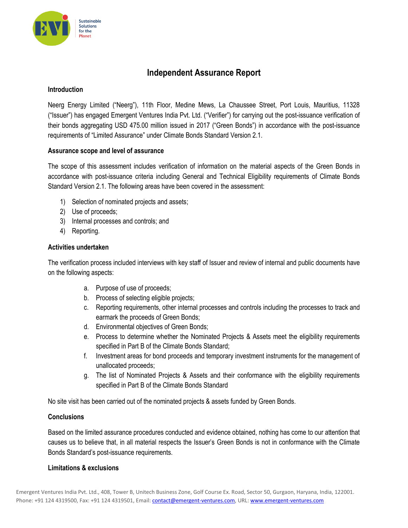

# **Independent Assurance Report**

# **Introduction**

Neerg Energy Limited ("Neerg"), 11th Floor, Medine Mews, La Chaussee Street, Port Louis, Mauritius, 11328 ("Issuer") has engaged Emergent Ventures India Pvt. Ltd. ("Verifier") for carrying out the post-issuance verification of their bonds aggregating USD 475.00 million issued in 2017 ("Green Bonds") in accordance with the post-issuance requirements of "Limited Assurance" under Climate Bonds Standard Version 2.1.

# **Assurance scope and level of assurance**

The scope of this assessment includes verification of information on the material aspects of the Green Bonds in accordance with post-issuance criteria including General and Technical Eligibility requirements of Climate Bonds Standard Version 2.1. The following areas have been covered in the assessment:

- 1) Selection of nominated projects and assets;
- 2) Use of proceeds;
- 3) Internal processes and controls; and
- 4) Reporting.

# **Activities undertaken**

The verification process included interviews with key staff of Issuer and review of internal and public documents have on the following aspects:

- a. Purpose of use of proceeds;
- b. Process of selecting eligible projects;
- c. Reporting requirements, other internal processes and controls including the processes to track and earmark the proceeds of Green Bonds;
- d. Environmental objectives of Green Bonds;
- e. Process to determine whether the Nominated Projects & Assets meet the eligibility requirements specified in Part B of the Climate Bonds Standard;
- f. Investment areas for bond proceeds and temporary investment instruments for the management of unallocated proceeds;
- g. The list of Nominated Projects & Assets and their conformance with the eligibility requirements specified in Part B of the Climate Bonds Standard

No site visit has been carried out of the nominated projects & assets funded by Green Bonds.

#### **Conclusions**

Based on the limited assurance procedures conducted and evidence obtained, nothing has come to our attention that causes us to believe that, in all material respects the Issuer's Green Bonds is not in conformance with the Climate Bonds Standard's post-issuance requirements.

#### **Limitations & exclusions**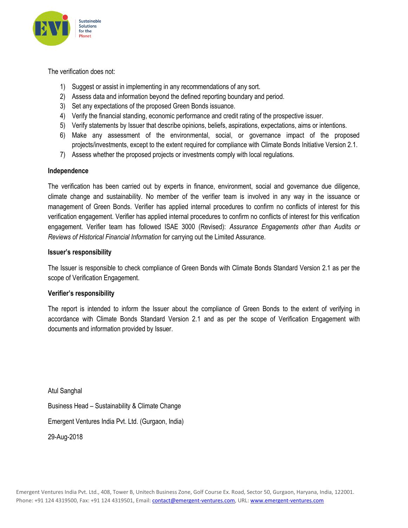

The verification does not:

- 1) Suggest or assist in implementing in any recommendations of any sort.
- 2) Assess data and information beyond the defined reporting boundary and period.
- 3) Set any expectations of the proposed Green Bonds issuance.
- 4) Verify the financial standing, economic performance and credit rating of the prospective issuer.
- 5) Verify statements by Issuer that describe opinions, beliefs, aspirations, expectations, aims or intentions.
- 6) Make any assessment of the environmental, social, or governance impact of the proposed projects/investments, except to the extent required for compliance with Climate Bonds Initiative Version 2.1.
- 7) Assess whether the proposed projects or investments comply with local regulations.

#### **Independence**

The verification has been carried out by experts in finance, environment, social and governance due diligence, climate change and sustainability. No member of the verifier team is involved in any way in the issuance or management of Green Bonds. Verifier has applied internal procedures to confirm no conflicts of interest for this verification engagement. Verifier has applied internal procedures to confirm no conflicts of interest for this verification engagement. Verifier team has followed ISAE 3000 (Revised): *Assurance Engagements other than Audits or Reviews of Historical Financial Information* for carrying out the Limited Assurance.

# **Issuer's responsibility**

The Issuer is responsible to check compliance of Green Bonds with Climate Bonds Standard Version 2.1 as per the scope of Verification Engagement.

#### **Verifier's responsibility**

The report is intended to inform the Issuer about the compliance of Green Bonds to the extent of verifying in accordance with Climate Bonds Standard Version 2.1 and as per the scope of Verification Engagement with documents and information provided by Issuer.

Atul Sanghal Business Head – Sustainability & Climate Change Emergent Ventures India Pvt. Ltd. (Gurgaon, India) 29-Aug-2018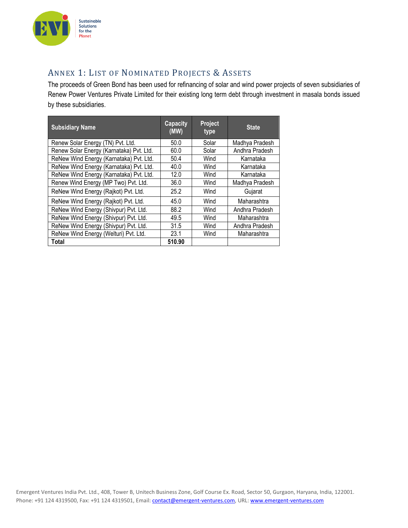

# ANNEX 1: LIST OF NOMINATED PROJECTS & ASSETS

The proceeds of Green Bond has been used for refinancing of solar and wind power projects of seven subsidiaries of Renew Power Ventures Private Limited for their existing long term debt through investment in masala bonds issued by these subsidiaries.

| <b>Subsidiary Name</b>                   | <b>Capacity</b><br>(MW) | Project<br>type | <b>State</b>   |
|------------------------------------------|-------------------------|-----------------|----------------|
| Renew Solar Energy (TN) Pvt. Ltd.        | 50.0                    | Solar           | Madhya Pradesh |
| Renew Solar Energy (Karnataka) Pvt. Ltd. | 60.0                    | Solar           | Andhra Pradesh |
| ReNew Wind Energy (Karnataka) Pvt. Ltd.  | 50.4                    | Wind            | Karnataka      |
| ReNew Wind Energy (Karnataka) Pvt. Ltd.  | 40.0                    | Wind            | Karnataka      |
| ReNew Wind Energy (Karnataka) Pvt. Ltd.  | 12.0                    | Wind            | Karnataka      |
| Renew Wind Energy (MP Two) Pvt. Ltd.     | 36.0                    | Wind            | Madhya Pradesh |
| ReNew Wind Energy (Rajkot) Pvt. Ltd.     | 25.2                    | Wind            | Gujarat        |
| ReNew Wind Energy (Rajkot) Pvt. Ltd.     | 45.0                    | Wind            | Maharashtra    |
| ReNew Wind Energy (Shivpur) Pvt. Ltd.    | 88.2                    | Wind            | Andhra Pradesh |
| ReNew Wind Energy (Shivpur) Pvt. Ltd.    | 49.5                    | Wind            | Maharashtra    |
| ReNew Wind Energy (Shivpur) Pvt. Ltd.    | 31.5                    | Wind            | Andhra Pradesh |
| ReNew Wind Energy (Welturi) Pvt. Ltd.    | 23.1                    | Wind            | Maharashtra    |
| Total                                    | 510.90                  |                 |                |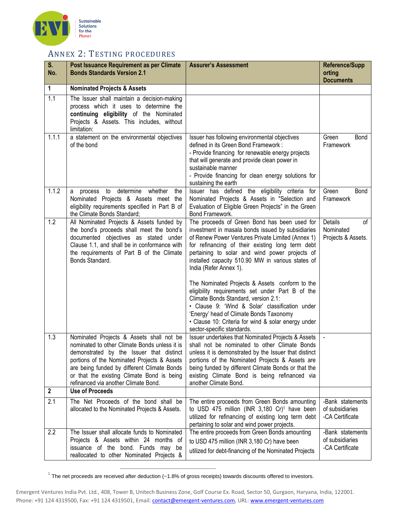

# ANNEX 2: TESTING PROCEDURES

| $\overline{\mathsf{S}}$ .<br>No. | Post Issuance Requirement as per Climate<br><b>Bonds Standards Version 2.1</b>                                                                                                                                                                                                                                            | <b>Assurer's Assessment</b>                                                                                                                                                                                                                                                                                                                                                                                                                                                                                                                                                                                                                    | <b>Reference/Supp</b><br>orting<br><b>Documents</b>    |
|----------------------------------|---------------------------------------------------------------------------------------------------------------------------------------------------------------------------------------------------------------------------------------------------------------------------------------------------------------------------|------------------------------------------------------------------------------------------------------------------------------------------------------------------------------------------------------------------------------------------------------------------------------------------------------------------------------------------------------------------------------------------------------------------------------------------------------------------------------------------------------------------------------------------------------------------------------------------------------------------------------------------------|--------------------------------------------------------|
| $\mathbf{1}$                     | <b>Nominated Projects &amp; Assets</b>                                                                                                                                                                                                                                                                                    |                                                                                                                                                                                                                                                                                                                                                                                                                                                                                                                                                                                                                                                |                                                        |
| 1.1                              | The Issuer shall maintain a decision-making<br>process which it uses to determine the<br>continuing eligibility of the Nominated<br>Projects & Assets. This includes, without<br>limitation:                                                                                                                              |                                                                                                                                                                                                                                                                                                                                                                                                                                                                                                                                                                                                                                                |                                                        |
| 1.1.1                            | a statement on the environmental objectives<br>of the bond                                                                                                                                                                                                                                                                | Issuer has following environmental objectives<br>defined in its Green Bond Framework :<br>- Provide financing for renewable energy projects<br>that will generate and provide clean power in<br>sustainable manner<br>- Provide financing for clean energy solutions for<br>sustaining the earth                                                                                                                                                                                                                                                                                                                                               | Green<br>Bond<br>Framework                             |
| 1.1.2                            | determine<br>whether<br>to<br>the<br>process<br>a<br>Nominated Projects & Assets meet the<br>eligibility requirements specified in Part B of<br>the Climate Bonds Standard;                                                                                                                                               | Issuer has defined the eligibility criteria for<br>Nominated Projects & Assets in "Selection and<br>Evaluation of Eligible Green Projects" in the Green<br>Bond Framework.                                                                                                                                                                                                                                                                                                                                                                                                                                                                     | Green<br>Bond<br>Framework                             |
| 1.2                              | All Nominated Projects & Assets funded by<br>the bond's proceeds shall meet the bond's<br>documented objectives as stated under<br>Clause 1.1, and shall be in conformance with<br>the requirements of Part B of the Climate<br>Bonds Standard.                                                                           | The proceeds of Green Bond has been used for<br>investment in masala bonds issued by subsidiaries<br>of Renew Power Ventures Private Limited (Annex 1)<br>for refinancing of their existing long term debt<br>pertaining to solar and wind power projects of<br>installed capacity 510.90 MW in various states of<br>India (Refer Annex 1).<br>The Nominated Projects & Assets conform to the<br>eligibility requirements set under Part B of the<br>Climate Bonds Standard, version 2.1:<br>• Clause 9: 'Wind & Solar' classification under<br>'Energy' head of Climate Bonds Taxonomy<br>• Clause 10: Criteria for wind & solar energy under | Details<br>of<br>Nominated<br>Projects & Assets.       |
| 1.3                              | Nominated Projects & Assets shall not be<br>nominated to other Climate Bonds unless it is<br>demonstrated by the Issuer that distinct<br>portions of the Nominated Projects & Assets<br>are being funded by different Climate Bonds<br>or that the existing Climate Bond is being<br>refinanced via another Climate Bond. | sector-specific standards.<br>Issuer undertakes that Nominated Projects & Assets<br>shall not be nominated to other Climate Bonds<br>unless it is demonstrated by the Issuer that distinct<br>portions of the Nominated Projects & Assets are<br>being funded by different Climate Bonds or that the<br>existing Climate Bond is being refinanced via<br>another Climate Bond.                                                                                                                                                                                                                                                                 |                                                        |
| $\mathbf 2$                      | <b>Use of Proceeds</b>                                                                                                                                                                                                                                                                                                    |                                                                                                                                                                                                                                                                                                                                                                                                                                                                                                                                                                                                                                                |                                                        |
| 2.1                              | The Net Proceeds of the bond shall be<br>allocated to the Nominated Projects & Assets.                                                                                                                                                                                                                                    | The entire proceeds from Green Bonds amounting<br>to USD 475 million (INR 3,180 Cr) <sup>1</sup> have been<br>utilized for refinancing of existing long term debt<br>pertaining to solar and wind power projects.                                                                                                                                                                                                                                                                                                                                                                                                                              | -Bank statements<br>of subsidiaries<br>-CA Certificate |
| 2.2                              | The Issuer shall allocate funds to Nominated<br>Projects & Assets within 24 months of<br>issuance of the bond. Funds may be<br>reallocated to other Nominated Projects &                                                                                                                                                  | The entire proceeds from Green Bonds amounting<br>to USD 475 million (INR 3,180 Cr) have been<br>utilized for debt-financing of the Nominated Projects                                                                                                                                                                                                                                                                                                                                                                                                                                                                                         | -Bank statements<br>of subsidiaries<br>-CA Certificate |

1 The net proceeds are received after deduction (~1.8% of gross receipts) towards discounts offered to investors.

Emergent Ventures India Pvt. Ltd., 408, Tower B, Unitech Business Zone, Golf Course Ex. Road, Sector 50, Gurgaon, Haryana, India, 122001. Phone: +91 124 4319500, Fax: +91 124 4319501, Email: contact@emergent-ventures.com, URL: www.emergent-ventures.com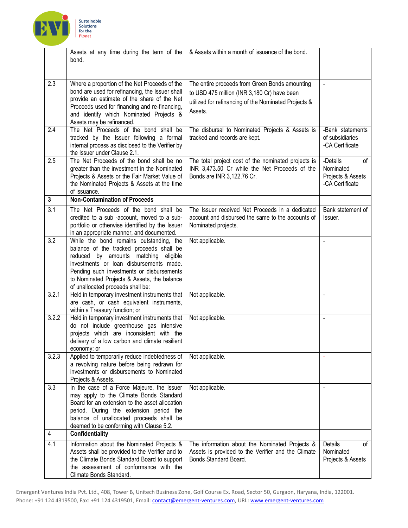

|                | Assets at any time during the term of the<br>bond.                                               | & Assets within a month of issuance of the bond.                                              |                                      |
|----------------|--------------------------------------------------------------------------------------------------|-----------------------------------------------------------------------------------------------|--------------------------------------|
|                |                                                                                                  |                                                                                               |                                      |
| 2.3            |                                                                                                  |                                                                                               |                                      |
|                | Where a proportion of the Net Proceeds of the<br>bond are used for refinancing, the Issuer shall | The entire proceeds from Green Bonds amounting<br>to USD 475 million (INR 3,180 Cr) have been | $\blacksquare$                       |
|                | provide an estimate of the share of the Net                                                      |                                                                                               |                                      |
|                | Proceeds used for financing and re-financing,                                                    | utilized for refinancing of the Nominated Projects &                                          |                                      |
|                | and identify which Nominated Projects &                                                          | Assets.                                                                                       |                                      |
|                | Assets may be refinanced.                                                                        |                                                                                               |                                      |
| 2.4            | The Net Proceeds of the bond shall be<br>tracked by the Issuer following a formal                | The disbursal to Nominated Projects & Assets is<br>tracked and records are kept.              | -Bank statements<br>of subsidiaries  |
|                | internal process as disclosed to the Verifier by                                                 |                                                                                               | -CA Certificate                      |
|                | the Issuer under Clause 2.1.                                                                     |                                                                                               |                                      |
| 2.5            | The Net Proceeds of the bond shall be no                                                         | The total project cost of the nominated projects is                                           | -Details<br>of                       |
|                | greater than the investment in the Nominated                                                     | INR 3,473.50 Cr while the Net Proceeds of the                                                 | Nominated                            |
|                | Projects & Assets or the Fair Market Value of<br>the Nominated Projects & Assets at the time     | Bonds are INR 3,122.76 Cr.                                                                    | Projects & Assets<br>-CA Certificate |
|                | of issuance.                                                                                     |                                                                                               |                                      |
| $\mathbf{3}$   | <b>Non-Contamination of Proceeds</b>                                                             |                                                                                               |                                      |
| 3.1            | The Net Proceeds of the bond shall be                                                            | The Issuer received Net Proceeds in a dedicated                                               | Bank statement of                    |
|                | credited to a sub -account, moved to a sub-<br>portfolio or otherwise identified by the Issuer   | account and disbursed the same to the accounts of<br>Nominated projects.                      | Issuer.                              |
|                | in an appropriate manner, and documented.                                                        |                                                                                               |                                      |
| 3.2            | While the bond remains outstanding, the                                                          | Not applicable.                                                                               | $\blacksquare$                       |
|                | balance of the tracked proceeds shall be                                                         |                                                                                               |                                      |
|                | reduced by amounts matching<br>eligible                                                          |                                                                                               |                                      |
|                | investments or loan disbursements made.                                                          |                                                                                               |                                      |
|                | Pending such investments or disbursements<br>to Nominated Projects & Assets, the balance         |                                                                                               |                                      |
|                | of unallocated proceeds shall be:                                                                |                                                                                               |                                      |
| 3.2.1          | Held in temporary investment instruments that                                                    | Not applicable.                                                                               |                                      |
|                | are cash, or cash equivalent instruments,                                                        |                                                                                               |                                      |
| 3.2.2          | within a Treasury function; or<br>Held in temporary investment instruments that                  | Not applicable.                                                                               |                                      |
|                | do not include greenhouse gas intensive                                                          |                                                                                               |                                      |
|                | projects which are inconsistent with the                                                         |                                                                                               |                                      |
|                | delivery of a low carbon and climate resilient                                                   |                                                                                               |                                      |
|                | economy; or                                                                                      |                                                                                               |                                      |
| 3.2.3          | Applied to temporarily reduce indebtedness of<br>a revolving nature before being redrawn for     | Not applicable.                                                                               |                                      |
|                | investments or disbursements to Nominated                                                        |                                                                                               |                                      |
|                | Projects & Assets.                                                                               |                                                                                               |                                      |
| 3.3            | In the case of a Force Majeure, the Issuer                                                       | Not applicable.                                                                               |                                      |
|                | may apply to the Climate Bonds Standard                                                          |                                                                                               |                                      |
|                | Board for an extension to the asset allocation<br>period. During the extension period the        |                                                                                               |                                      |
|                | balance of unallocated proceeds shall be                                                         |                                                                                               |                                      |
|                | deemed to be conforming with Clause 5.2.                                                         |                                                                                               |                                      |
| $\overline{4}$ | <b>Confidentiality</b>                                                                           |                                                                                               |                                      |
| 4.1            | Information about the Nominated Projects &                                                       | The information about the Nominated Projects &                                                | Details<br>οf                        |
|                | Assets shall be provided to the Verifier and to<br>the Climate Bonds Standard Board to support   | Assets is provided to the Verifier and the Climate<br>Bonds Standard Board.                   | Nominated                            |
|                | the assessment of conformance with the                                                           |                                                                                               | Projects & Assets                    |
|                | Climate Bonds Standard.                                                                          |                                                                                               |                                      |
|                |                                                                                                  |                                                                                               |                                      |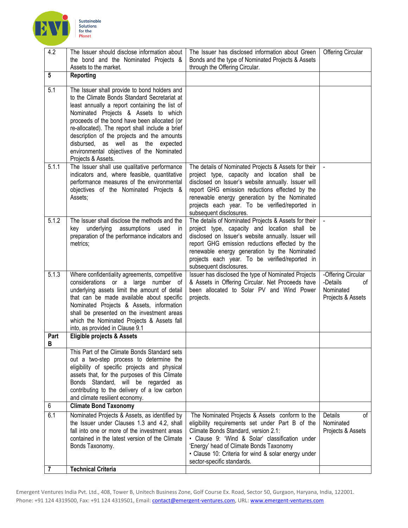

| 4.2            | The Issuer should disclose information about<br>the bond and the Nominated Projects &                                                                                                                                                                                                                                                                                                                                                                | The Issuer has disclosed information about Green<br>Bonds and the type of Nominated Projects & Assets                                                                                                                                                                                                                                      | <b>Offering Circular</b>                                               |
|----------------|------------------------------------------------------------------------------------------------------------------------------------------------------------------------------------------------------------------------------------------------------------------------------------------------------------------------------------------------------------------------------------------------------------------------------------------------------|--------------------------------------------------------------------------------------------------------------------------------------------------------------------------------------------------------------------------------------------------------------------------------------------------------------------------------------------|------------------------------------------------------------------------|
|                | Assets to the market.                                                                                                                                                                                                                                                                                                                                                                                                                                | through the Offering Circular.                                                                                                                                                                                                                                                                                                             |                                                                        |
| 5              | Reporting                                                                                                                                                                                                                                                                                                                                                                                                                                            |                                                                                                                                                                                                                                                                                                                                            |                                                                        |
| 5.1            | The Issuer shall provide to bond holders and<br>to the Climate Bonds Standard Secretariat at<br>least annually a report containing the list of<br>Nominated Projects & Assets to which<br>proceeds of the bond have been allocated (or<br>re-allocated). The report shall include a brief<br>description of the projects and the amounts<br>disbursed, as well as the<br>expected<br>environmental objectives of the Nominated<br>Projects & Assets. |                                                                                                                                                                                                                                                                                                                                            |                                                                        |
| 5.1.1          | The Issuer shall use qualitative performance<br>indicators and, where feasible, quantitative<br>performance measures of the environmental<br>objectives of the Nominated Projects &<br>Assets;                                                                                                                                                                                                                                                       | The details of Nominated Projects & Assets for their<br>project type, capacity and location shall be<br>disclosed on Issuer's website annually. Issuer will<br>report GHG emission reductions effected by the<br>renewable energy generation by the Nominated<br>projects each year. To be verified/reported in<br>subsequent disclosures. |                                                                        |
| 5.1.2          | The Issuer shall disclose the methods and the<br>underlying<br>assumptions<br>used<br>kev<br>- in<br>preparation of the performance indicators and<br>metrics;                                                                                                                                                                                                                                                                                       | The details of Nominated Projects & Assets for their<br>project type, capacity and location shall be<br>disclosed on Issuer's website annually. Issuer will<br>report GHG emission reductions effected by the<br>renewable energy generation by the Nominated<br>projects each year. To be verified/reported in<br>subsequent disclosures. |                                                                        |
| 5.1.3          | Where confidentiality agreements, competitive<br>considerations or a large number of<br>underlying assets limit the amount of detail<br>that can be made available about specific<br>Nominated Projects & Assets, information<br>shall be presented on the investment areas<br>which the Nominated Projects & Assets fall<br>into, as provided in Clause 9.1                                                                                         | Issuer has disclosed the type of Nominated Projects<br>& Assets in Offering Circular. Net Proceeds have<br>been allocated to Solar PV and Wind Power<br>projects.                                                                                                                                                                          | -Offering Circular<br>-Details<br>0f<br>Nominated<br>Projects & Assets |
| Part<br>в      | <b>Eligible projects &amp; Assets</b>                                                                                                                                                                                                                                                                                                                                                                                                                |                                                                                                                                                                                                                                                                                                                                            |                                                                        |
| 6              | This Part of the Climate Bonds Standard sets<br>out a two-step process to determine the<br>eligibility of specific projects and physical<br>assets that, for the purposes of this Climate<br>Bonds Standard, will be regarded as<br>contributing to the delivery of a low carbon<br>and climate resilient economy.<br><b>Climate Bond Taxonomy</b>                                                                                                   |                                                                                                                                                                                                                                                                                                                                            |                                                                        |
|                |                                                                                                                                                                                                                                                                                                                                                                                                                                                      |                                                                                                                                                                                                                                                                                                                                            |                                                                        |
| 6.1            | Nominated Projects & Assets, as identified by<br>the Issuer under Clauses 1.3 and 4.2, shall<br>fall into one or more of the investment areas<br>contained in the latest version of the Climate<br>Bonds Taxonomy.                                                                                                                                                                                                                                   | The Nominated Projects & Assets conform to the<br>eligibility requirements set under Part B of the<br>Climate Bonds Standard, version 2.1:<br>• Clause 9: 'Wind & Solar' classification under<br>'Energy' head of Climate Bonds Taxonomy<br>• Clause 10: Criteria for wind & solar energy under<br>sector-specific standards.              | Details<br>οf<br>Nominated<br>Projects & Assets                        |
| $\overline{7}$ | <b>Technical Criteria</b>                                                                                                                                                                                                                                                                                                                                                                                                                            |                                                                                                                                                                                                                                                                                                                                            |                                                                        |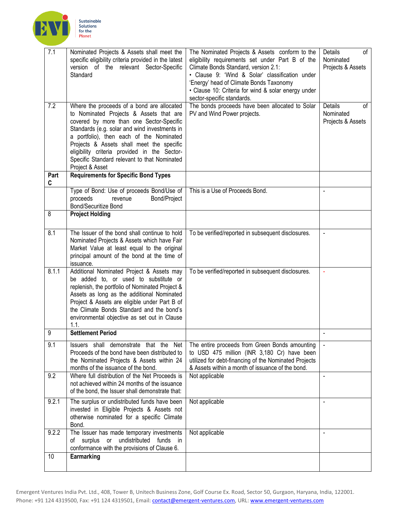

| $\overline{7.1}$ | Nominated Projects & Assets shall meet the<br>specific eligibility criteria provided in the latest<br>version of the relevant Sector-Specific<br>Standard                                                                                                                                                                                                                                      | The Nominated Projects & Assets conform to the<br>eligibility requirements set under Part B of the<br>Climate Bonds Standard, version 2.1:<br>• Clause 9: 'Wind & Solar' classification under<br>'Energy' head of Climate Bonds Taxonomy<br>· Clause 10: Criteria for wind & solar energy under<br>sector-specific standards. | Details<br>of<br>Nominated<br>Projects & Assets |
|------------------|------------------------------------------------------------------------------------------------------------------------------------------------------------------------------------------------------------------------------------------------------------------------------------------------------------------------------------------------------------------------------------------------|-------------------------------------------------------------------------------------------------------------------------------------------------------------------------------------------------------------------------------------------------------------------------------------------------------------------------------|-------------------------------------------------|
| 7.2              | Where the proceeds of a bond are allocated<br>to Nominated Projects & Assets that are<br>covered by more than one Sector-Specific<br>Standards (e.g. solar and wind investments in<br>a portfolio), then each of the Nominated<br>Projects & Assets shall meet the specific<br>eligibility criteria provided in the Sector-<br>Specific Standard relevant to that Nominated<br>Project & Asset | The bonds proceeds have been allocated to Solar<br>PV and Wind Power projects.                                                                                                                                                                                                                                                | Details<br>0f<br>Nominated<br>Projects & Assets |
| Part<br>C        | <b>Requirements for Specific Bond Types</b>                                                                                                                                                                                                                                                                                                                                                    |                                                                                                                                                                                                                                                                                                                               |                                                 |
|                  | Type of Bond: Use of proceeds Bond/Use of<br>proceeds<br>Bond/Project<br>revenue<br><b>Bond/Securitize Bond</b>                                                                                                                                                                                                                                                                                | This is a Use of Proceeds Bond.                                                                                                                                                                                                                                                                                               |                                                 |
| 8                | <b>Project Holding</b>                                                                                                                                                                                                                                                                                                                                                                         |                                                                                                                                                                                                                                                                                                                               |                                                 |
| 8.1              | The Issuer of the bond shall continue to hold<br>Nominated Projects & Assets which have Fair<br>Market Value at least equal to the original<br>principal amount of the bond at the time of<br>issuance.                                                                                                                                                                                        | To be verified/reported in subsequent disclosures.                                                                                                                                                                                                                                                                            |                                                 |
| 8.1.1            | Additional Nominated Project & Assets may<br>be added to, or used to substitute or<br>replenish, the portfolio of Nominated Project &<br>Assets as long as the additional Nominated<br>Project & Assets are eligible under Part B of<br>the Climate Bonds Standard and the bond's<br>environmental objective as set out in Clause<br>1.1.                                                      | To be verified/reported in subsequent disclosures.                                                                                                                                                                                                                                                                            | $\blacksquare$                                  |
| 9                | <b>Settlement Period</b>                                                                                                                                                                                                                                                                                                                                                                       |                                                                                                                                                                                                                                                                                                                               |                                                 |
| 9.1              | Proceeds of the bond have been distributed to<br>the Nominated Projects & Assets within 24<br>months of the issuance of the bond.                                                                                                                                                                                                                                                              | Issuers shall demonstrate that the Net   The entire proceeds from Green Bonds amounting<br>to USD 475 million (INR 3,180 Cr) have been<br>utilized for debt-financing of the Nominated Projects<br>& Assets within a month of issuance of the bond.                                                                           |                                                 |
| 9.2              | Where full distribution of the Net Proceeds is<br>not achieved within 24 months of the issuance<br>of the bond, the Issuer shall demonstrate that:                                                                                                                                                                                                                                             | Not applicable                                                                                                                                                                                                                                                                                                                |                                                 |
| 9.2.1            | The surplus or undistributed funds have been<br>invested in Eligible Projects & Assets not<br>otherwise nominated for a specific Climate<br>Bond.                                                                                                                                                                                                                                              | Not applicable                                                                                                                                                                                                                                                                                                                |                                                 |
| 9.2.2            | The Issuer has made temporary investments<br>or undistributed funds in<br>of surplus<br>conformance with the provisions of Clause 6.                                                                                                                                                                                                                                                           | Not applicable                                                                                                                                                                                                                                                                                                                |                                                 |
| 10               | Earmarking                                                                                                                                                                                                                                                                                                                                                                                     |                                                                                                                                                                                                                                                                                                                               |                                                 |